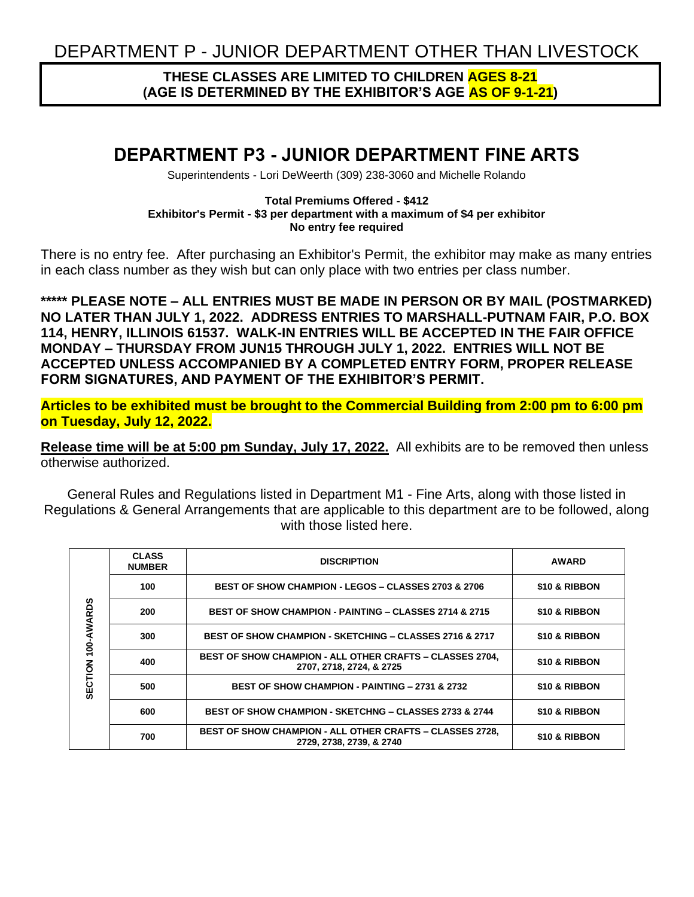DEPARTMENT P - JUNIOR DEPARTMENT OTHER THAN LIVESTOCK

## **THESE CLASSES ARE LIMITED TO CHILDREN AGES 8-21 (AGE IS DETERMINED BY THE EXHIBITOR'S AGE AS OF 9-1-21)**

# **DEPARTMENT P3 - JUNIOR DEPARTMENT FINE ARTS**

Superintendents - Lori DeWeerth (309) 238-3060 and Michelle Rolando

#### **Total Premiums Offered - \$412 Exhibitor's Permit - \$3 per department with a maximum of \$4 per exhibitor No entry fee required**

There is no entry fee. After purchasing an Exhibitor's Permit, the exhibitor may make as many entries in each class number as they wish but can only place with two entries per class number.

**\*\*\*\*\* PLEASE NOTE – ALL ENTRIES MUST BE MADE IN PERSON OR BY MAIL (POSTMARKED) NO LATER THAN JULY 1, 2022. ADDRESS ENTRIES TO MARSHALL-PUTNAM FAIR, P.O. BOX 114, HENRY, ILLINOIS 61537. WALK-IN ENTRIES WILL BE ACCEPTED IN THE FAIR OFFICE MONDAY – THURSDAY FROM JUN15 THROUGH JULY 1, 2022. ENTRIES WILL NOT BE ACCEPTED UNLESS ACCOMPANIED BY A COMPLETED ENTRY FORM, PROPER RELEASE FORM SIGNATURES, AND PAYMENT OF THE EXHIBITOR'S PERMIT.**

**Articles to be exhibited must be brought to the Commercial Building from 2:00 pm to 6:00 pm on Tuesday, July 12, 2022.**

**Release time will be at 5:00 pm Sunday, July 17, 2022.** All exhibits are to be removed then unless otherwise authorized.

General Rules and Regulations listed in Department M1 - Fine Arts, along with those listed in Regulations & General Arrangements that are applicable to this department are to be followed, along with those listed here.

|                       | <b>CLASS</b><br><b>NUMBER</b> | <b>DISCRIPTION</b>                                                                          | <b>AWARD</b>  |  |  |
|-----------------------|-------------------------------|---------------------------------------------------------------------------------------------|---------------|--|--|
| 100-AWARDS<br>SECTION | 100                           | <b>BEST OF SHOW CHAMPION - LEGOS - CLASSES 2703 &amp; 2706</b>                              | \$10 & RIBBON |  |  |
|                       | 200                           | <b>BEST OF SHOW CHAMPION - PAINTING - CLASSES 2714 &amp; 2715</b>                           | \$10 & RIBBON |  |  |
|                       | 300                           | <b>BEST OF SHOW CHAMPION - SKETCHING - CLASSES 2716 &amp; 2717</b>                          | \$10 & RIBBON |  |  |
|                       | 400                           | <b>BEST OF SHOW CHAMPION - ALL OTHER CRAFTS - CLASSES 2704,</b><br>2707, 2718, 2724, & 2725 | \$10 & RIBBON |  |  |
|                       | 500                           | <b>BEST OF SHOW CHAMPION - PAINTING - 2731 &amp; 2732</b>                                   | \$10 & RIBBON |  |  |
|                       | 600                           | <b>BEST OF SHOW CHAMPION - SKETCHNG - CLASSES 2733 &amp; 2744</b>                           | \$10 & RIBBON |  |  |
|                       | 700                           | <b>BEST OF SHOW CHAMPION - ALL OTHER CRAFTS - CLASSES 2728.</b><br>2729, 2738, 2739, & 2740 | \$10 & RIBBON |  |  |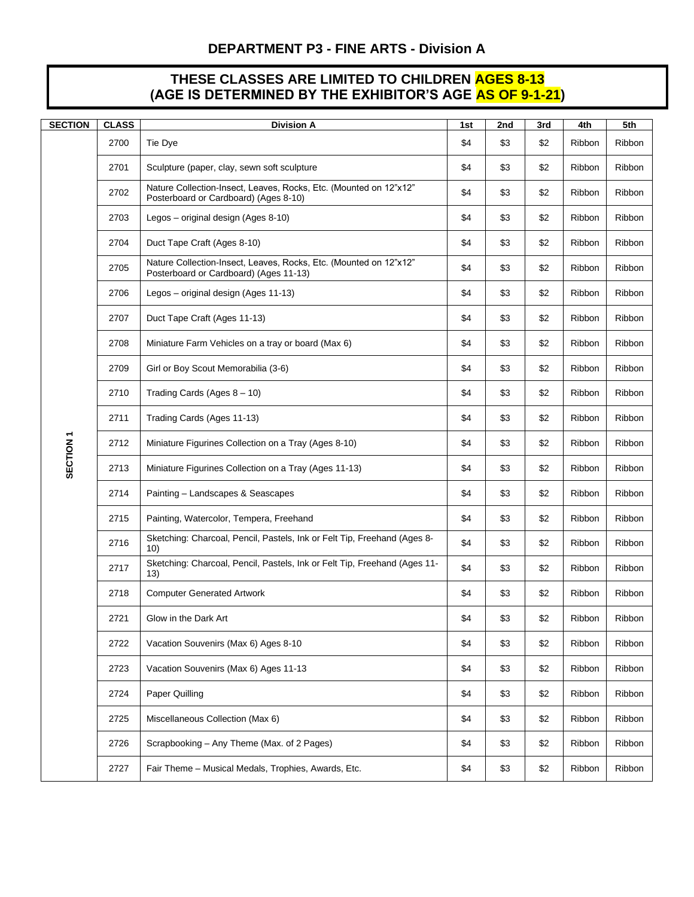### **THESE CLASSES ARE LIMITED TO CHILDREN AGES 8-13 (AGE IS DETERMINED BY THE EXHIBITOR'S AGE AS OF 9-1-21)**

| <b>SECTION</b>       | <b>CLASS</b> | <b>Division A</b>                                                                                           | 1st | 2nd | 3rd | 4th    | 5th           |
|----------------------|--------------|-------------------------------------------------------------------------------------------------------------|-----|-----|-----|--------|---------------|
| SECTION <sub>1</sub> | 2700         | Tie Dye                                                                                                     | \$4 | \$3 | \$2 | Ribbon | Ribbon        |
|                      | 2701         | Sculpture (paper, clay, sewn soft sculpture                                                                 | \$4 | \$3 | \$2 | Ribbon | Ribbon        |
|                      | 2702         | Nature Collection-Insect, Leaves, Rocks, Etc. (Mounted on 12"x12"<br>Posterboard or Cardboard) (Ages 8-10)  | \$4 | \$3 | \$2 | Ribbon | Ribbon        |
|                      | 2703         | Legos – original design (Ages 8-10)                                                                         | \$4 | \$3 | \$2 | Ribbon | Ribbon        |
|                      | 2704         | Duct Tape Craft (Ages 8-10)                                                                                 | \$4 | \$3 | \$2 | Ribbon | Ribbon        |
|                      | 2705         | Nature Collection-Insect, Leaves, Rocks, Etc. (Mounted on 12"x12"<br>Posterboard or Cardboard) (Ages 11-13) | \$4 | \$3 | \$2 | Ribbon | Ribbon        |
|                      | 2706         | Legos - original design (Ages 11-13)                                                                        | \$4 | \$3 | \$2 | Ribbon | Ribbon        |
|                      | 2707         | Duct Tape Craft (Ages 11-13)                                                                                | \$4 | \$3 | \$2 | Ribbon | Ribbon        |
|                      | 2708         | Miniature Farm Vehicles on a tray or board (Max 6)                                                          | \$4 | \$3 | \$2 | Ribbon | <b>Ribbon</b> |
|                      | 2709         | Girl or Boy Scout Memorabilia (3-6)                                                                         | \$4 | \$3 | \$2 | Ribbon | Ribbon        |
|                      | 2710         | Trading Cards (Ages $8 - 10$ )                                                                              | \$4 | \$3 | \$2 | Ribbon | Ribbon        |
|                      | 2711         | Trading Cards (Ages 11-13)                                                                                  | \$4 | \$3 | \$2 | Ribbon | Ribbon        |
|                      | 2712         | Miniature Figurines Collection on a Tray (Ages 8-10)                                                        | \$4 | \$3 | \$2 | Ribbon | Ribbon        |
|                      | 2713         | Miniature Figurines Collection on a Tray (Ages 11-13)                                                       | \$4 | \$3 | \$2 | Ribbon | Ribbon        |
|                      | 2714         | Painting - Landscapes & Seascapes                                                                           | \$4 | \$3 | \$2 | Ribbon | Ribbon        |
|                      | 2715         | Painting, Watercolor, Tempera, Freehand                                                                     | \$4 | \$3 | \$2 | Ribbon | Ribbon        |
|                      | 2716         | Sketching: Charcoal, Pencil, Pastels, Ink or Felt Tip, Freehand (Ages 8-<br>10)                             | \$4 | \$3 | \$2 | Ribbon | Ribbon        |
|                      | 2717         | Sketching: Charcoal, Pencil, Pastels, Ink or Felt Tip, Freehand (Ages 11-<br>13)                            | \$4 | \$3 | \$2 | Ribbon | Ribbon        |
|                      | 2718         | <b>Computer Generated Artwork</b>                                                                           | \$4 | \$3 | \$2 | Ribbon | Ribbon        |
|                      | 2721         | Glow in the Dark Art                                                                                        | \$4 | \$3 | \$2 | Ribbon | Ribbon        |
|                      | 2722         | Vacation Souvenirs (Max 6) Ages 8-10                                                                        | \$4 | \$3 | \$2 | Ribbon | Ribbon        |
|                      | 2723         | Vacation Souvenirs (Max 6) Ages 11-13                                                                       | \$4 | \$3 | \$2 | Ribbon | Ribbon        |
|                      | 2724         | Paper Quilling                                                                                              | \$4 | \$3 | \$2 | Ribbon | Ribbon        |
|                      | 2725         | Miscellaneous Collection (Max 6)                                                                            | \$4 | \$3 | \$2 | Ribbon | Ribbon        |
|                      | 2726         | Scrapbooking - Any Theme (Max. of 2 Pages)                                                                  | \$4 | \$3 | \$2 | Ribbon | Ribbon        |
|                      | 2727         | Fair Theme - Musical Medals, Trophies, Awards, Etc.                                                         | \$4 | \$3 | \$2 | Ribbon | Ribbon        |